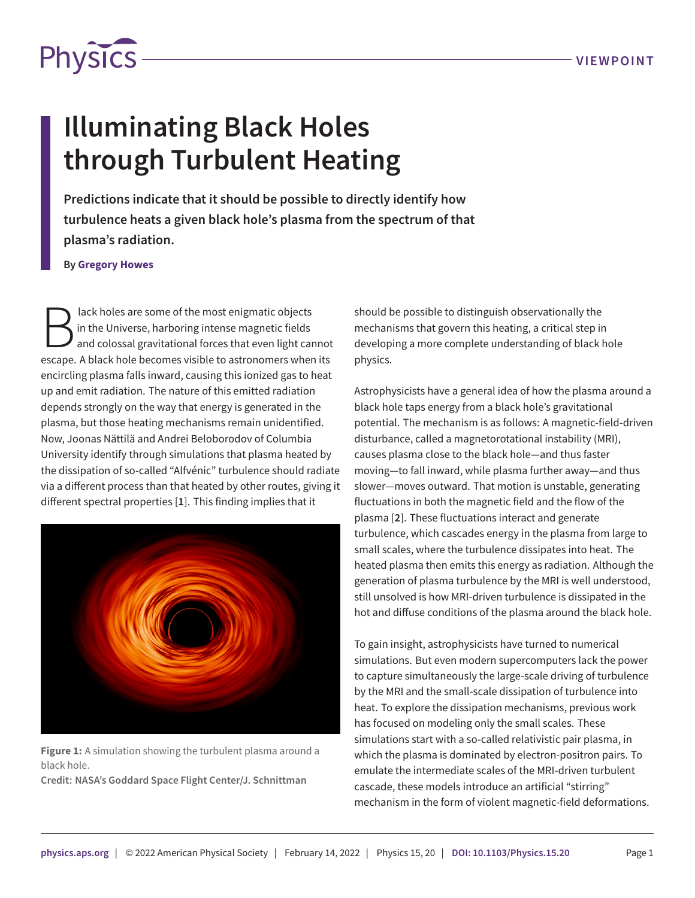

## **Illuminating Black Holes through Turbulent Heating**

**Predictions indicate that it should be possible to directly identify how turbulence heats a given black hole's plasma from the spectrum of that plasma's radiation.**

## **By Gregory Howes**

B lack holes are some of the most enigmatic objects<br>in the Universe, harboring intense magnetic fields<br>and colossal gravitational forces that even light canno<br>escape. A black hole becomes visible to astronomers when its lack holes are some of the most enigmatic objects in the Universe, harboring intense magnetic fields and colossal gravitational forces that even light cannot encircling plasma falls inward, causing this ionized gas to heat up and emit radiation. The nature of this emitted radiation depends strongly on the way that energy is generated in the plasma, but those heating mechanisms remain unidentified. Now, Joonas Nättilä and Andrei Beloborodov of Columbia University identify through simulations that plasma heated by the dissipation of so-called "Alfvénic" turbulence should radiate via a different process than that heated by other routes, giving it different spectral properties [**[1](#page-1-0)**]. This finding implies that it



**Figure 1:** A simulation showing the turbulent plasma around a black hole.

**Credit: NASA's Goddard Space Flight Center/J. Schnittman**

should be possible to distinguish observationally the mechanisms that govern this heating, a critical step in developing a more complete understanding of black hole physics.

Astrophysicists have a general idea of how the plasma around a black hole taps energy from a black hole's gravitational potential. The mechanism is as follows: A magnetic-field-driven disturbance, called a magnetorotational instability (MRI), causes plasma close to the black hole—and thus faster moving—to fall inward, while plasma further away—and thus slower—moves outward. That motion is unstable, generating fluctuations in both the magnetic field and the flow of the plasma [**[2](#page-1-1)**]. These fluctuations interact and generate turbulence, which cascades energy in the plasma from large to small scales, where the turbulence dissipates into heat. The heated plasma then emits this energy as radiation. Although the generation of plasma turbulence by the MRI is well understood, still unsolved is how MRI-driven turbulence is dissipated in the hot and diffuse conditions of the plasma around the black hole.

To gain insight, astrophysicists have turned to numerical simulations. But even modern supercomputers lack the power to capture simultaneously the large-scale driving of turbulence by the MRI and the small-scale dissipation of turbulence into heat. To explore the dissipation mechanisms, previous work has focused on modeling only the small scales. These simulations start with a so-called relativistic pair plasma, in which the plasma is dominated by electron-positron pairs. To emulate the intermediate scales of the MRI-driven turbulent cascade, these models introduce an artificial "stirring" mechanism in the form of violent magnetic-field deformations.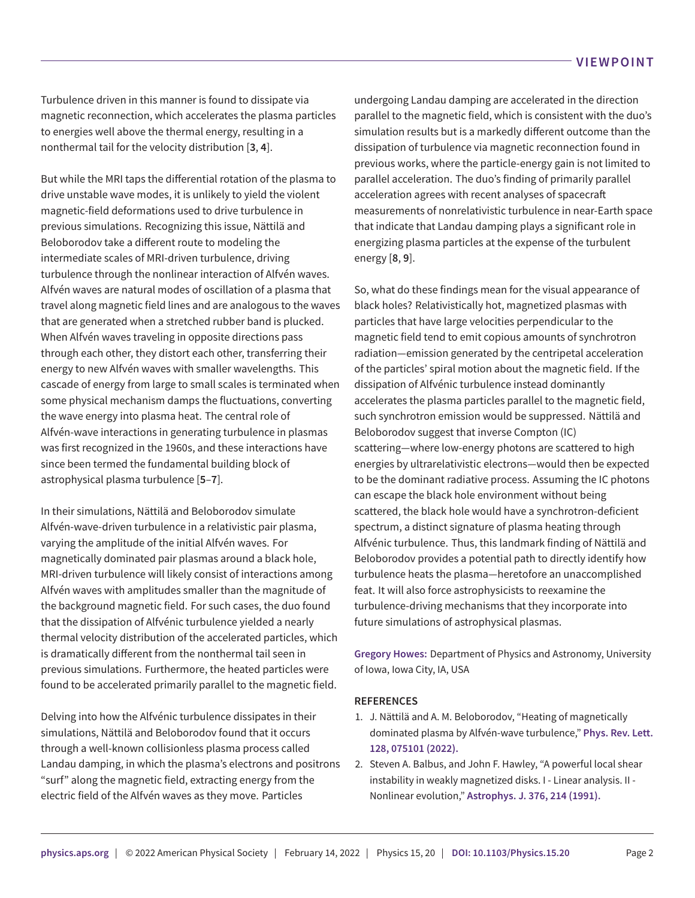Turbulence driven in this manner is found to dissipate via magnetic reconnection, which accelerates the plasma particles to energies well above the thermal energy, resulting in a nonthermal tail for the velocity distribution [**[3](#page-2-0)**, **[4](#page-2-1)**].

But while the MRI taps the differential rotation of the plasma to drive unstable wave modes, it is unlikely to yield the violent magnetic-field deformations used to drive turbulence in previous simulations. Recognizing this issue, Nättilä and Beloborodov take a different route to modeling the intermediate scales of MRI-driven turbulence, driving turbulence through the nonlinear interaction of Alfvén waves. Alfvén waves are natural modes of oscillation of a plasma that travel along magnetic field lines and are analogous to the waves that are generated when a stretched rubber band is plucked. When Alfvén waves traveling in opposite directions pass through each other, they distort each other, transferring their energy to new Alfvén waves with smaller wavelengths. This cascade of energy from large to small scales is terminated when some physical mechanism damps the fluctuations, converting the wave energy into plasma heat. The central role of Alfvén-wave interactions in generating turbulence in plasmas was first recognized in the 1960s, and these interactions have since been termed the fundamental building block of astrophysical plasma turbulence [**[5](#page-2-2)**–**[7](#page-2-3)**].

In their simulations, Nättilä and Beloborodov simulate Alfvén-wave-driven turbulence in a relativistic pair plasma, varying the amplitude of the initial Alfvén waves. For magnetically dominated pair plasmas around a black hole, MRI-driven turbulence will likely consist of interactions among Alfvén waves with amplitudes smaller than the magnitude of the background magnetic field. For such cases, the duo found that the dissipation of Alfvénic turbulence yielded a nearly thermal velocity distribution of the accelerated particles, which is dramatically different from the nonthermal tail seen in previous simulations. Furthermore, the heated particles were found to be accelerated primarily parallel to the magnetic field.

Delving into how the Alfvénic turbulence dissipates in their simulations, Nättilä and Beloborodov found that it occurs through a well-known collisionless plasma process called Landau damping, in which the plasma's electrons and positrons "surf" along the magnetic field, extracting energy from the electric field of the Alfvén waves as they move. Particles

undergoing Landau damping are accelerated in the direction parallel to the magnetic field, which is consistent with the duo's simulation results but is a markedly different outcome than the dissipation of turbulence via magnetic reconnection found in previous works, where the particle-energy gain is not limited to parallel acceleration. The duo's finding of primarily parallel acceleration agrees with recent analyses of spacecraft measurements of nonrelativistic turbulence in near-Earth space that indicate that Landau damping plays a significant role in energizing plasma particles at the expense of the turbulent energy [**[8](#page-2-4)**, **[9](#page-2-5)**].

So, what do these findings mean for the visual appearance of black holes? Relativistically hot, magnetized plasmas with particles that have large velocities perpendicular to the magnetic field tend to emit copious amounts of synchrotron radiation—emission generated by the centripetal acceleration of the particles' spiral motion about the magnetic field. If the dissipation of Alfvénic turbulence instead dominantly accelerates the plasma particles parallel to the magnetic field, such synchrotron emission would be suppressed. Nättilä and Beloborodov suggest that inverse Compton (IC) scattering—where low-energy photons are scattered to high energies by ultrarelativistic electrons—would then be expected to be the dominant radiative process. Assuming the IC photons can escape the black hole environment without being scattered, the black hole would have a synchrotron-deficient spectrum, a distinct signature of plasma heating through Alfvénic turbulence. Thus, this landmark finding of Nättilä and Beloborodov provides a potential path to directly identify how turbulence heats the plasma—heretofore an unaccomplished feat. It will also force astrophysicists to reexamine the turbulence-driving mechanisms that they incorporate into future simulations of astrophysical plasmas.

**Gregory Howes:** Department of Physics and Astronomy, University of Iowa, Iowa City, IA, USA

## **REFERENCES**

- <span id="page-1-0"></span>1. J. Nättilä and A. M. Beloborodov, "Heating of magnetically dominated plasma by Alfvén-wave turbulence," **Phys. Rev. Lett. 128, 075101 (2022).**
- <span id="page-1-1"></span>2. Steven A. Balbus, and John F. Hawley, "A powerful local shear instability in weakly magnetized disks. I - Linear analysis. II - Nonlinear evolution," **Astrophys. J. 376, 214 (1991).**